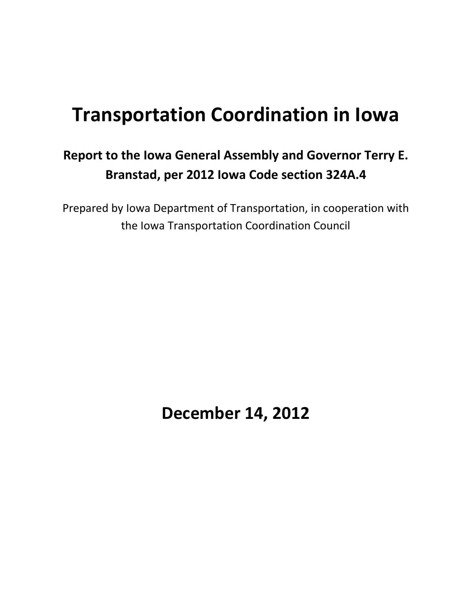# **Transportation Coordination in Iowa**

## **Report to the Iowa General Assembly and Governor Terry E. Branstad, per 2012 Iowa Code section 324A.4**

Prepared by Iowa Department of Transportation, in cooperation with the Iowa Transportation Coordination Council

**December 14, 2012**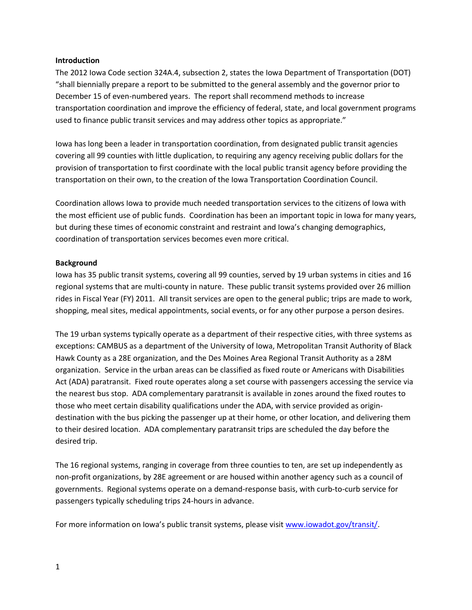#### **Introduction**

The 2012 Iowa Code section 324A.4, subsection 2, states the Iowa Department of Transportation (DOT) "shall biennially prepare a report to be submitted to the general assembly and the governor prior to December 15 of even-numbered years. The report shall recommend methods to increase transportation coordination and improve the efficiency of federal, state, and local government programs used to finance public transit services and may address other topics as appropriate."

Iowa has long been a leader in transportation coordination, from designated public transit agencies covering all 99 counties with little duplication, to requiring any agency receiving public dollars for the provision of transportation to first coordinate with the local public transit agency before providing the transportation on their own, to the creation of the Iowa Transportation Coordination Council.

Coordination allows Iowa to provide much needed transportation services to the citizens of Iowa with the most efficient use of public funds. Coordination has been an important topic in Iowa for many years, but during these times of economic constraint and restraint and Iowa's changing demographics, coordination of transportation services becomes even more critical.

#### **Background**

Iowa has 35 public transit systems, covering all 99 counties, served by 19 urban systems in cities and 16 regional systems that are multi-county in nature. These public transit systems provided over 26 million rides in Fiscal Year (FY) 2011. All transit services are open to the general public; trips are made to work, shopping, meal sites, medical appointments, social events, or for any other purpose a person desires.

The 19 urban systems typically operate as a department of their respective cities, with three systems as exceptions: CAMBUS as a department of the University of Iowa, Metropolitan Transit Authority of Black Hawk County as a 28E organization, and the Des Moines Area Regional Transit Authority as a 28M organization. Service in the urban areas can be classified as fixed route or Americans with Disabilities Act (ADA) paratransit. Fixed route operates along a set course with passengers accessing the service via the nearest bus stop. ADA complementary paratransit is available in zones around the fixed routes to those who meet certain disability qualifications under the ADA, with service provided as origindestination with the bus picking the passenger up at their home, or other location, and delivering them to their desired location. ADA complementary paratransit trips are scheduled the day before the desired trip.

The 16 regional systems, ranging in coverage from three counties to ten, are set up independently as non-profit organizations, by 28E agreement or are housed within another agency such as a council of governments. Regional systems operate on a demand-response basis, with curb-to-curb service for passengers typically scheduling trips 24-hours in advance.

For more information on Iowa's public transit systems, please visit [www.iowadot.gov/transit/.](http://www.iowadot.gov/transit/)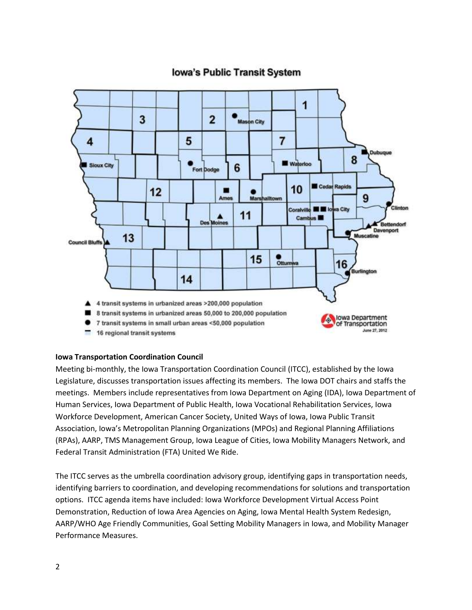### **Iowa's Public Transit System**



#### **Iowa Transportation Coordination Council**

Meeting bi-monthly, the Iowa Transportation Coordination Council (ITCC), established by the Iowa Legislature, discusses transportation issues affecting its members. The Iowa DOT chairs and staffs the meetings. Members include representatives from Iowa Department on Aging (IDA), Iowa Department of Human Services, Iowa Department of Public Health, Iowa Vocational Rehabilitation Services, Iowa Workforce Development, American Cancer Society, United Ways of Iowa, Iowa Public Transit Association, Iowa's Metropolitan Planning Organizations (MPOs) and Regional Planning Affiliations (RPAs), AARP, TMS Management Group, Iowa League of Cities, Iowa Mobility Managers Network, and Federal Transit Administration (FTA) United We Ride.

The ITCC serves as the umbrella coordination advisory group, identifying gaps in transportation needs, identifying barriers to coordination, and developing recommendations for solutions and transportation options. ITCC agenda items have included: Iowa Workforce Development Virtual Access Point Demonstration, Reduction of Iowa Area Agencies on Aging, Iowa Mental Health System Redesign, AARP/WHO Age Friendly Communities, Goal Setting Mobility Managers in Iowa, and Mobility Manager Performance Measures.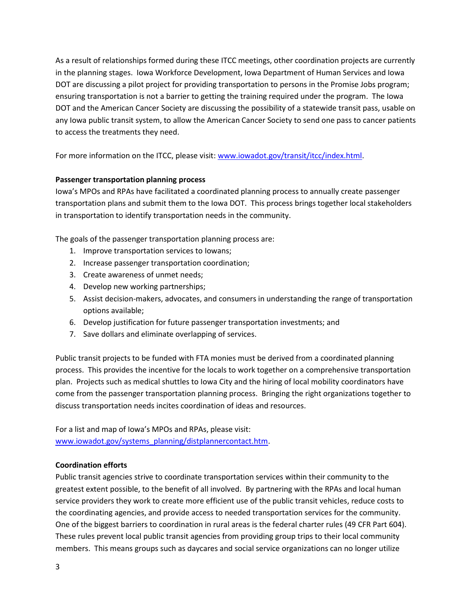As a result of relationships formed during these ITCC meetings, other coordination projects are currently in the planning stages. Iowa Workforce Development, Iowa Department of Human Services and Iowa DOT are discussing a pilot project for providing transportation to persons in the Promise Jobs program; ensuring transportation is not a barrier to getting the training required under the program. The Iowa DOT and the American Cancer Society are discussing the possibility of a statewide transit pass, usable on any Iowa public transit system, to allow the American Cancer Society to send one pass to cancer patients to access the treatments they need.

For more information on the ITCC, please visit[: www.iowadot.gov/transit/itcc/index.html.](http://www.iowadot.gov/transit/itcc/index.html)

#### **Passenger transportation planning process**

Iowa's MPOs and RPAs have facilitated a coordinated planning process to annually create passenger transportation plans and submit them to the Iowa DOT. This process brings together local stakeholders in transportation to identify transportation needs in the community.

The goals of the passenger transportation planning process are:

- 1. Improve transportation services to Iowans;
- 2. Increase passenger transportation coordination;
- 3. Create awareness of unmet needs;
- 4. Develop new working partnerships;
- 5. Assist decision-makers, advocates, and consumers in understanding the range of transportation options available;
- 6. Develop justification for future passenger transportation investments; and
- 7. Save dollars and eliminate overlapping of services.

Public transit projects to be funded with FTA monies must be derived from a coordinated planning process. This provides the incentive for the locals to work together on a comprehensive transportation plan. Projects such as medical shuttles to Iowa City and the hiring of local mobility coordinators have come from the passenger transportation planning process. Bringing the right organizations together to discuss transportation needs incites coordination of ideas and resources.

For a list and map of Iowa's MPOs and RPAs, please visit: [www.iowadot.gov/systems\\_planning/distplannercontact.htm.](http://www.iowadot.gov/systems_planning/distplannercontact.htm)

#### **Coordination efforts**

Public transit agencies strive to coordinate transportation services within their community to the greatest extent possible, to the benefit of all involved. By partnering with the RPAs and local human service providers they work to create more efficient use of the public transit vehicles, reduce costs to the coordinating agencies, and provide access to needed transportation services for the community. One of the biggest barriers to coordination in rural areas is the federal charter rules (49 CFR Part 604). These rules prevent local public transit agencies from providing group trips to their local community members. This means groups such as daycares and social service organizations can no longer utilize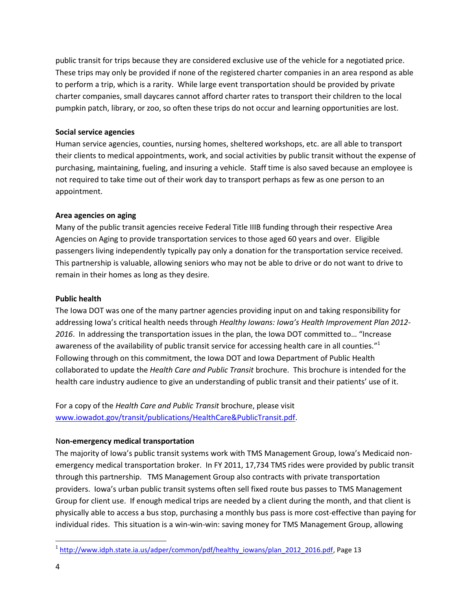public transit for trips because they are considered exclusive use of the vehicle for a negotiated price. These trips may only be provided if none of the registered charter companies in an area respond as able to perform a trip, which is a rarity. While large event transportation should be provided by private charter companies, small daycares cannot afford charter rates to transport their children to the local pumpkin patch, library, or zoo, so often these trips do not occur and learning opportunities are lost.

#### **Social service agencies**

Human service agencies, counties, nursing homes, sheltered workshops, etc. are all able to transport their clients to medical appointments, work, and social activities by public transit without the expense of purchasing, maintaining, fueling, and insuring a vehicle. Staff time is also saved because an employee is not required to take time out of their work day to transport perhaps as few as one person to an appointment.

#### **Area agencies on aging**

Many of the public transit agencies receive Federal Title IIIB funding through their respective Area Agencies on Aging to provide transportation services to those aged 60 years and over. Eligible passengers living independently typically pay only a donation for the transportation service received. This partnership is valuable, allowing seniors who may not be able to drive or do not want to drive to remain in their homes as long as they desire.

#### **Public health**

The Iowa DOT was one of the many partner agencies providing input on and taking responsibility for addressing Iowa's critical health needs through *Healthy Iowans: Iowa's Health Improvement Plan 2012- 2016*. In addressing the transportation issues in the plan, the Iowa DOT committed to… "Increase awareness of the availability of public transit service for accessing health care in all counties."<sup>1</sup> Following through on this commitment, the Iowa DOT and Iowa Department of Public Health collaborated to update the *Health Care and Public Transit* brochure. This brochure is intended for the health care industry audience to give an understanding of public transit and their patients' use of it.

For a copy of the *Health Care and Public Transit* brochure, please visit [www.iowadot.gov/transit/publications/HealthCare&PublicTransit.pdf.](http://www.iowadot.gov/transit/publications/HealthCare&PublicTransit.pdf)

#### N**on-emergency medical transportation**

The majority of Iowa's public transit systems work with TMS Management Group, Iowa's Medicaid nonemergency medical transportation broker. In FY 2011, 17,734 TMS rides were provided by public transit through this partnership. TMS Management Group also contracts with private transportation providers. Iowa's urban public transit systems often sell fixed route bus passes to TMS Management Group for client use. If enough medical trips are needed by a client during the month, and that client is physically able to access a bus stop, purchasing a monthly bus pass is more cost-effective than paying for individual rides. This situation is a win-win-win: saving money for TMS Management Group, allowing

 $\overline{\phantom{a}}$ 

<sup>&</sup>lt;sup>1</sup> [http://www.idph.state.ia.us/adper/common/pdf/healthy\\_iowans/plan\\_2012\\_2016.pdf,](http://www.idph.state.ia.us/adper/common/pdf/healthy_iowans/plan_2012_2016.pdf) Page 13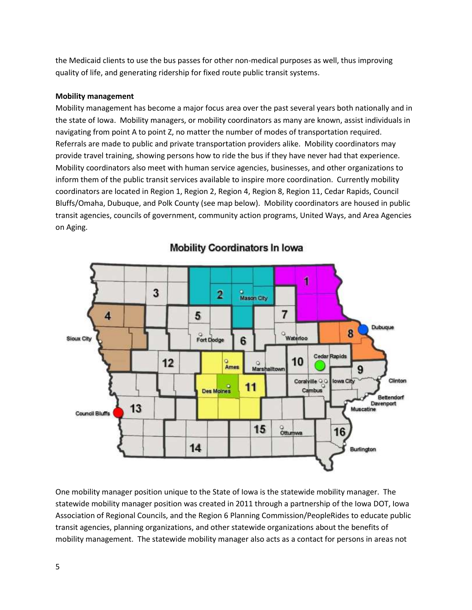the Medicaid clients to use the bus passes for other non-medical purposes as well, thus improving quality of life, and generating ridership for fixed route public transit systems.

#### **Mobility management**

Mobility management has become a major focus area over the past several years both nationally and in the state of Iowa. Mobility managers, or mobility coordinators as many are known, assist individuals in navigating from point A to point Z, no matter the number of modes of transportation required. Referrals are made to public and private transportation providers alike. Mobility coordinators may provide travel training, showing persons how to ride the bus if they have never had that experience. Mobility coordinators also meet with human service agencies, businesses, and other organizations to inform them of the public transit services available to inspire more coordination. Currently mobility coordinators are located in Region 1, Region 2, Region 4, Region 8, Region 11, Cedar Rapids, Council Bluffs/Omaha, Dubuque, and Polk County (see map below). Mobility coordinators are housed in public transit agencies, councils of government, community action programs, United Ways, and Area Agencies on Aging.



**Mobility Coordinators In Iowa** 

One mobility manager position unique to the State of Iowa is the statewide mobility manager. The statewide mobility manager position was created in 2011 through a partnership of the Iowa DOT, Iowa Association of Regional Councils, and the Region 6 Planning Commission/PeopleRides to educate public transit agencies, planning organizations, and other statewide organizations about the benefits of mobility management. The statewide mobility manager also acts as a contact for persons in areas not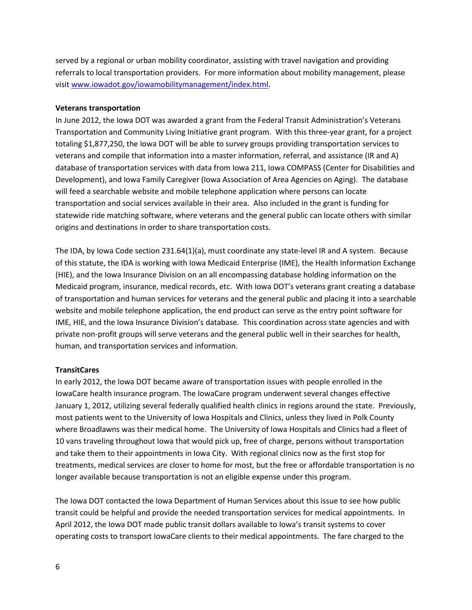served by a regional or urban mobility coordinator, assisting with travel navigation and providing referrals to local transportation providers. For more information about mobility management, please visi[t www.iowadot.gov/iowamobilitymanagement/index.html.](http://www.iowadot.gov/iowamobilitymanagement/index.html)

#### **Veterans transportation**

In June 2012, the Iowa DOT was awarded a grant from the Federal Transit Administration's Veterans Transportation and Community Living Initiative grant program. With this three-year grant, for a project totaling \$1,877,250, the Iowa DOT will be able to survey groups providing transportation services to veterans and compile that information into a master information, referral, and assistance (IR and A) database of transportation services with data from Iowa 211, Iowa COMPASS (Center for Disabilities and Development), and Iowa Family Caregiver (Iowa Association of Area Agencies on Aging). The database will feed a searchable website and mobile telephone application where persons can locate transportation and social services available in their area. Also included in the grant is funding for statewide ride matching software, where veterans and the general public can locate others with similar origins and destinations in order to share transportation costs.

The IDA, by Iowa Code section 231.64(1)(a), must coordinate any state-level IR and A system. Because of this statute, the IDA is working with Iowa Medicaid Enterprise (IME), the Health Information Exchange (HIE), and the Iowa Insurance Division on an all encompassing database holding information on the Medicaid program, insurance, medical records, etc. With Iowa DOT's veterans grant creating a database of transportation and human services for veterans and the general public and placing it into a searchable website and mobile telephone application, the end product can serve as the entry point software for IME, HIE, and the Iowa Insurance Division's database. This coordination across state agencies and with private non-profit groups will serve veterans and the general public well in their searches for health, human, and transportation services and information.

#### **TransitCares**

In early 2012, the Iowa DOT became aware of transportation issues with people enrolled in the IowaCare health insurance program. The IowaCare program underwent several changes effective January 1, 2012, utilizing several federally qualified health clinics in regions around the state. Previously, most patients went to the University of Iowa Hospitals and Clinics, unless they lived in Polk County where Broadlawns was their medical home. The University of Iowa Hospitals and Clinics had a fleet of 10 vans traveling throughout Iowa that would pick up, free of charge, persons without transportation and take them to their appointments in Iowa City. With regional clinics now as the first stop for treatments, medical services are closer to home for most, but the free or affordable transportation is no longer available because transportation is not an eligible expense under this program.

The Iowa DOT contacted the Iowa Department of Human Services about this issue to see how public transit could be helpful and provide the needed transportation services for medical appointments. In April 2012, the Iowa DOT made public transit dollars available to Iowa's transit systems to cover operating costs to transport IowaCare clients to their medical appointments. The fare charged to the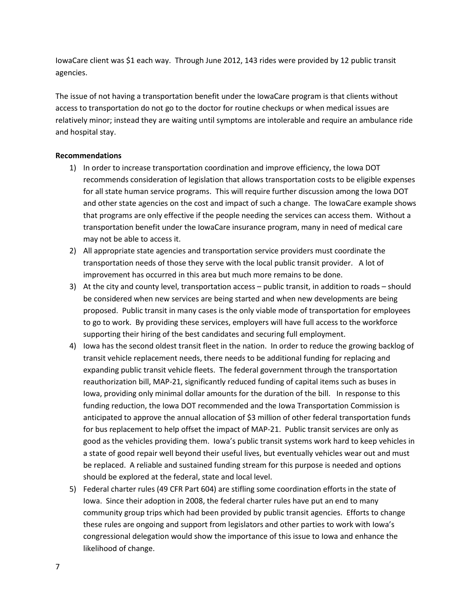IowaCare client was \$1 each way. Through June 2012, 143 rides were provided by 12 public transit agencies.

The issue of not having a transportation benefit under the IowaCare program is that clients without access to transportation do not go to the doctor for routine checkups or when medical issues are relatively minor; instead they are waiting until symptoms are intolerable and require an ambulance ride and hospital stay.

#### **Recommendations**

- 1) In order to increase transportation coordination and improve efficiency, the Iowa DOT recommends consideration of legislation that allows transportation costs to be eligible expenses for all state human service programs. This will require further discussion among the Iowa DOT and other state agencies on the cost and impact of such a change. The IowaCare example shows that programs are only effective if the people needing the services can access them. Without a transportation benefit under the IowaCare insurance program, many in need of medical care may not be able to access it.
- 2) All appropriate state agencies and transportation service providers must coordinate the transportation needs of those they serve with the local public transit provider. A lot of improvement has occurred in this area but much more remains to be done.
- 3) At the city and county level, transportation access public transit, in addition to roads should be considered when new services are being started and when new developments are being proposed. Public transit in many cases is the only viable mode of transportation for employees to go to work. By providing these services, employers will have full access to the workforce supporting their hiring of the best candidates and securing full employment.
- 4) Iowa has the second oldest transit fleet in the nation. In order to reduce the growing backlog of transit vehicle replacement needs, there needs to be additional funding for replacing and expanding public transit vehicle fleets. The federal government through the transportation reauthorization bill, MAP-21, significantly reduced funding of capital items such as buses in Iowa, providing only minimal dollar amounts for the duration of the bill. In response to this funding reduction, the Iowa DOT recommended and the Iowa Transportation Commission is anticipated to approve the annual allocation of \$3 million of other federal transportation funds for bus replacement to help offset the impact of MAP-21. Public transit services are only as good as the vehicles providing them. Iowa's public transit systems work hard to keep vehicles in a state of good repair well beyond their useful lives, but eventually vehicles wear out and must be replaced. A reliable and sustained funding stream for this purpose is needed and options should be explored at the federal, state and local level.
- 5) Federal charter rules (49 CFR Part 604) are stifling some coordination efforts in the state of Iowa. Since their adoption in 2008, the federal charter rules have put an end to many community group trips which had been provided by public transit agencies. Efforts to change these rules are ongoing and support from legislators and other parties to work with Iowa's congressional delegation would show the importance of this issue to Iowa and enhance the likelihood of change.